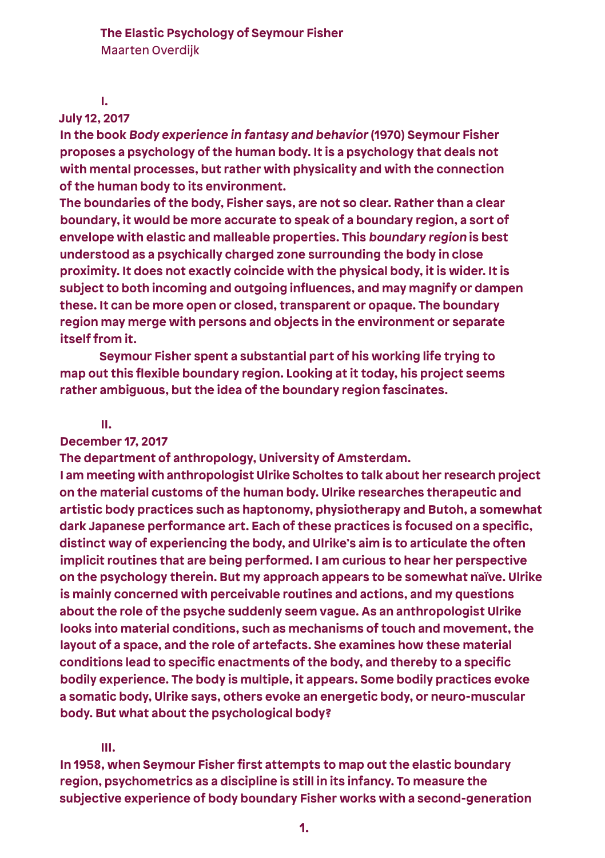#### **I.**

## **July 12, 2017**

**In the book Body experience in fantasy and behavior (1970) Seymour Fisher proposes a psychology of the human body. It is a psychology that deals not with mental processes, but rather with physicality and with the connection of the human body to its environment.** 

**The boundaries of the body, Fisher says, are not so clear. Rather than a clear boundary, it would be more accurate to speak of a boundary region, a sort of envelope with elastic and malleable properties. This boundary region is best understood as a psychically charged zone surrounding the body in close proximity. It does not exactly coincide with the physical body, it is wider. It is subject to both incoming and outgoing influences, and may magnify or dampen these. It can be more open or closed, transparent or opaque. The boundary region may merge with persons and objects in the environment or separate itself from it.**

 **Seymour Fisher spent a substantial part of his working life trying to map out this flexible boundary region. Looking at it today, his project seems rather ambiguous, but the idea of the boundary region fascinates.**

#### **II.**

# **December 17, 2017**

**The department of anthropology, University of Amsterdam.**

**I am meeting with anthropologist Ulrike Scholtes to talk about her research project on the material customs of the human body. Ulrike researches therapeutic and artistic body practices such as haptonomy, physiotherapy and Butoh, a somewhat dark Japanese performance art. Each of these practices is focused on a specific, distinct way of experiencing the body, and Ulrike's aim is to articulate the often implicit routines that are being performed. I am curious to hear her perspective on the psychology therein. But my approach appears to be somewhat naïve. Ulrike is mainly concerned with perceivable routines and actions, and my questions about the role of the psyche suddenly seem vague. As an anthropologist Ulrike looks into material conditions, such as mechanisms of touch and movement, the layout of a space, and the role of artefacts. She examines how these material conditions lead to specific enactments of the body, and thereby to a specific bodily experience. The body is multiple, it appears. Some bodily practices evoke a somatic body, Ulrike says, others evoke an energetic body, or neuro-muscular body. But what about the psychological body?**

### **III.**

**In 1958, when Seymour Fisher first attempts to map out the elastic boundary region, psychometrics as a discipline is still in its infancy. To measure the subjective experience of body boundary Fisher works with a second-generation**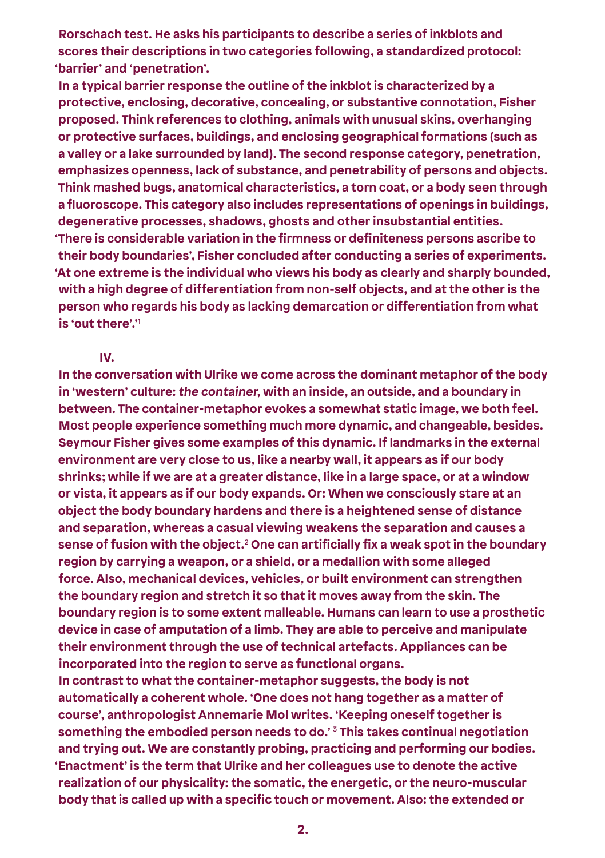**Rorschach test. He asks his participants to describe a series of inkblots and scores their descriptions in two categories following, a standardized protocol: 'barrier' and 'penetration'.**

**In a typical barrier response the outline of the inkblot is characterized by a protective, enclosing, decorative, concealing, or substantive connotation, Fisher proposed. Think references to clothing, animals with unusual skins, overhanging or protective surfaces, buildings, and enclosing geographical formations (such as a valley or a lake surrounded by land). The second response category, penetration, emphasizes openness, lack of substance, and penetrability of persons and objects. Think mashed bugs, anatomical characteristics, a torn coat, or a body seen through a fluoroscope. This category also includes representations of openings in buildings, degenerative processes, shadows, ghosts and other insubstantial entities. 'There is considerable variation in the firmness or definiteness persons ascribe to their body boundaries', Fisher concluded after conducting a series of experiments. 'At one extreme is the individual who views his body as clearly and sharply bounded, with a high degree of differentiation from non-self objects, and at the other is the person who regards his body as lacking demarcation or differentiation from what is 'out there'.'**<sup>1</sup> 

#### **IV.**

**In the conversation with Ulrike we come across the dominant metaphor of the body in 'western' culture: the container, with an inside, an outside, and a boundary in between. The container-metaphor evokes a somewhat static image, we both feel. Most people experience something much more dynamic, and changeable, besides. Seymour Fisher gives some examples of this dynamic. If landmarks in the external environment are very close to us, like a nearby wall, it appears as if our body shrinks; while if we are at a greater distance, like in a large space, or at a window or vista, it appears as if our body expands. Or: When we consciously stare at an object the body boundary hardens and there is a heightened sense of distance and separation, whereas a casual viewing weakens the separation and causes a sense of fusion with the object.**<sup>2</sup>  **One can artificially fix a weak spot in the boundary region by carrying a weapon, or a shield, or a medallion with some alleged force. Also, mechanical devices, vehicles, or built environment can strengthen the boundary region and stretch it so that it moves away from the skin. The boundary region is to some extent malleable. Humans can learn to use a prosthetic device in case of amputation of a limb. They are able to perceive and manipulate their environment through the use of technical artefacts. Appliances can be incorporated into the region to serve as functional organs. In contrast to what the container-metaphor suggests, the body is not** 

**automatically a coherent whole. 'One does not hang together as a matter of course', anthropologist Annemarie Mol writes. 'Keeping oneself together is something the embodied person needs to do.'** 3 **This takes continual negotiation and trying out. We are constantly probing, practicing and performing our bodies. 'Enactment' is the term that Ulrike and her colleagues use to denote the active realization of our physicality: the somatic, the energetic, or the neuro-muscular body that is called up with a specific touch or movement. Also: the extended or**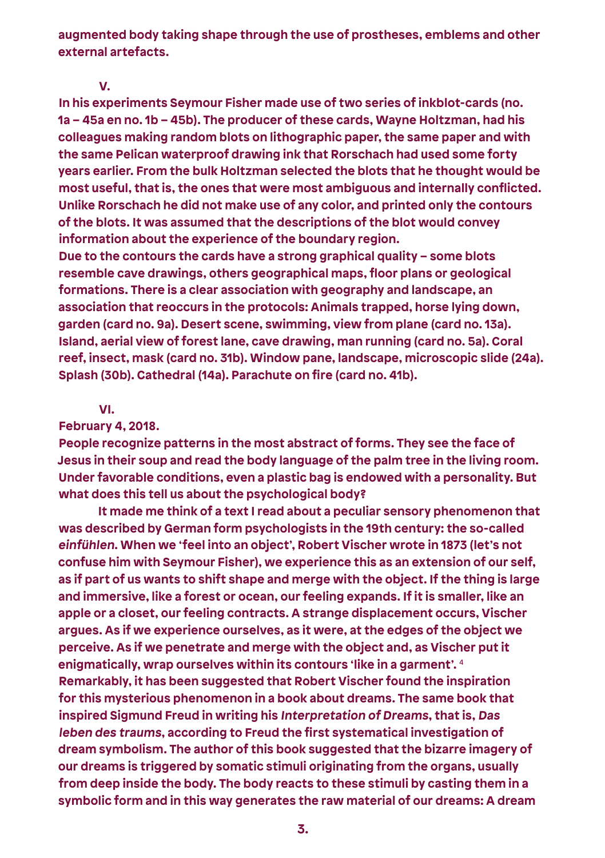**augmented body taking shape through the use of prostheses, emblems and other external artefacts.**

#### **V.**

**In his experiments Seymour Fisher made use of two series of inkblot-cards (no. 1a – 45a en no. 1b – 45b). The producer of these cards, Wayne Holtzman, had his colleagues making random blots on lithographic paper, the same paper and with the same Pelican waterproof drawing ink that Rorschach had used some forty years earlier. From the bulk Holtzman selected the blots that he thought would be most useful, that is, the ones that were most ambiguous and internally conflicted. Unlike Rorschach he did not make use of any color, and printed only the contours of the blots. It was assumed that the descriptions of the blot would convey information about the experience of the boundary region.**

**Due to the contours the cards have a strong graphical quality – some blots resemble cave drawings, others geographical maps, floor plans or geological formations. There is a clear association with geography and landscape, an association that reoccurs in the protocols: Animals trapped, horse lying down, garden (card no. 9a). Desert scene, swimming, view from plane (card no. 13a). Island, aerial view of forest lane, cave drawing, man running (card no. 5a). Coral reef, insect, mask (card no. 31b). Window pane, landscape, microscopic slide (24a). Splash (30b). Cathedral (14a). Parachute on fire (card no. 41b).** 

### **VI.**

## **February 4, 2018.**

**People recognize patterns in the most abstract of forms. They see the face of Jesus in their soup and read the body language of the palm tree in the living room. Under favorable conditions, even a plastic bag is endowed with a personality. But what does this tell us about the psychological body?**

 **It made me think of a text I read about a peculiar sensory phenomenon that was described by German form psychologists in the 19th century: the so-called einfühlen. When we 'feel into an object', Robert Vischer wrote in 1873 (let's not confuse him with Seymour Fisher), we experience this as an extension of our self, as if part of us wants to shift shape and merge with the object. If the thing is large and immersive, like a forest or ocean, our feeling expands. If it is smaller, like an apple or a closet, our feeling contracts. A strange displacement occurs, Vischer argues. As if we experience ourselves, as it were, at the edges of the object we perceive. As if we penetrate and merge with the object and, as Vischer put it enigmatically, wrap ourselves within its contours 'like in a garment'.** <sup>4</sup> **Remarkably, it has been suggested that Robert Vischer found the inspiration for this mysterious phenomenon in a book about dreams. The same book that inspired Sigmund Freud in writing his Interpretation of Dreams, that is, Das leben des traums, according to Freud the first systematical investigation of dream symbolism. The author of this book suggested that the bizarre imagery of our dreams is triggered by somatic stimuli originating from the organs, usually from deep inside the body. The body reacts to these stimuli by casting them in a symbolic form and in this way generates the raw material of our dreams: A dream**